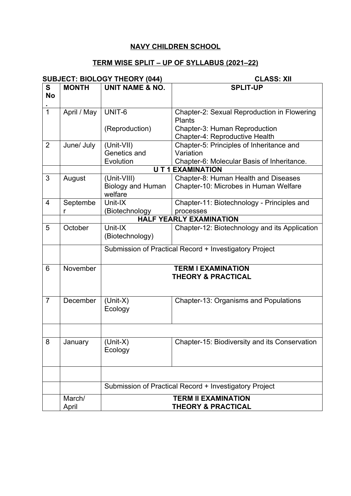## **NAVY CHILDREN SCHOOL**

## **TERM WISE SPLIT – UP OF SYLLABUS (2021–22)**

|                |                 | <b>SUBJECT: BIOLOGY THEORY (044)</b>                   | <b>CLASS: XII</b>                                               |  |  |  |
|----------------|-----------------|--------------------------------------------------------|-----------------------------------------------------------------|--|--|--|
| S<br><b>No</b> | <b>MONTH</b>    | <b>UNIT NAME &amp; NO.</b>                             | <b>SPLIT-UP</b>                                                 |  |  |  |
|                |                 |                                                        |                                                                 |  |  |  |
| $\overline{1}$ | April / May     | UNIT-6                                                 | Chapter-2: Sexual Reproduction in Flowering<br><b>Plants</b>    |  |  |  |
|                |                 | (Reproduction)                                         | Chapter-3: Human Reproduction<br>Chapter-4: Reproductive Health |  |  |  |
| $\overline{2}$ | June/ July      | (Unit-VII)                                             | Chapter-5: Principles of Inheritance and                        |  |  |  |
|                |                 | Genetics and                                           | Variation                                                       |  |  |  |
|                |                 | Evolution                                              | Chapter-6: Molecular Basis of Inheritance.                      |  |  |  |
|                |                 | <b>UT1 EXAMINATION</b>                                 |                                                                 |  |  |  |
| 3              | August          | (Unit-VIII)                                            | Chapter-8: Human Health and Diseases                            |  |  |  |
|                |                 | <b>Biology and Human</b><br>welfare                    | Chapter-10: Microbes in Human Welfare                           |  |  |  |
| $\overline{4}$ | Septembe        | Unit-IX                                                | Chapter-11: Biotechnology - Principles and                      |  |  |  |
|                | r               | (Biotechnology                                         | processes                                                       |  |  |  |
|                |                 | <b>HALF YEARLY EXAMINATION</b>                         |                                                                 |  |  |  |
| 5              | October         | Unit-IX<br>(Biotechnology)                             | Chapter-12: Biotechnology and its Application                   |  |  |  |
|                |                 |                                                        | Submission of Practical Record + Investigatory Project          |  |  |  |
| 6              | November        |                                                        | <b>TERM I EXAMINATION</b><br><b>THEORY &amp; PRACTICAL</b>      |  |  |  |
| $\overline{7}$ | December        | $(Unit-X)$<br>Ecology                                  | <b>Chapter-13: Organisms and Populations</b>                    |  |  |  |
|                |                 |                                                        |                                                                 |  |  |  |
| 8              | January         | $(Unit-X)$<br>Ecology                                  | Chapter-15: Biodiversity and its Conservation                   |  |  |  |
|                |                 |                                                        |                                                                 |  |  |  |
|                |                 | Submission of Practical Record + Investigatory Project |                                                                 |  |  |  |
|                | March/<br>April |                                                        | <b>TERM II EXAMINATION</b><br><b>THEORY &amp; PRACTICAL</b>     |  |  |  |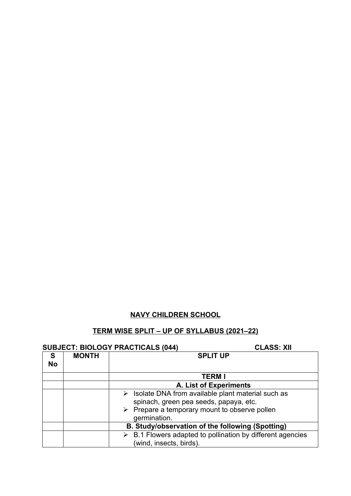## **NAVY CHILDREN SCHOOL**

## **TERM WISE SPLIT – UP OF SYLLABUS (2021–22)**

| <b>SUBJECT: BIOLOGY PRACTICALS (044)</b> |
|------------------------------------------|
|------------------------------------------|

**CLASS: XII** 

|                |              | 00D0L01. DIOLOOT I TVIOTIONLO (017)<br>96699. AU                                                                                                                             |
|----------------|--------------|------------------------------------------------------------------------------------------------------------------------------------------------------------------------------|
| S<br><b>No</b> | <b>MONTH</b> | <b>SPLIT UP</b>                                                                                                                                                              |
|                |              | <b>TERM I</b>                                                                                                                                                                |
|                |              | A. List of Experiments                                                                                                                                                       |
|                |              | $\triangleright$ Isolate DNA from available plant material such as<br>spinach, green pea seeds, papaya, etc.<br>$\triangleright$ Prepare a temporary mount to observe pollen |
|                |              | germination.                                                                                                                                                                 |
|                |              | B. Study/observation of the following (Spotting)                                                                                                                             |
|                |              | $\triangleright$ B.1 Flowers adapted to pollination by different agencies<br>(wind, insects, birds).                                                                         |